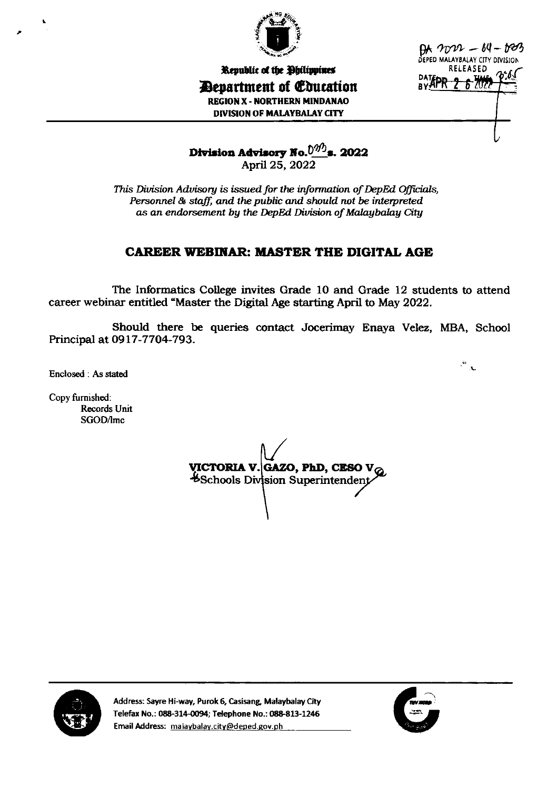

 $9x - 64 - 603$ DEPED MALAYBALAY CITY DIVISION **RELEASED** DATEP - <del>Wy</del>

 $\frac{1}{\sqrt{2}}$ 

Republic of the Ohilippines **Department of Education REGION X - NORTHERN MINDANAO DIVISION OF MALAYBALAY CITY** 

Division Advisory No. $\frac{0^{9/3}}{8}$ s. 2022 April 25, 2022

This Division Advisory is issued for the information of DepEd Officials, Personnel & staff, and the public and should not be interpreted as an endorsement by the DepEd Division of Malaybalay City

# **CAREER WEBINAR: MASTER THE DIGITAL AGE**

The Informatics College invites Grade 10 and Grade 12 students to attend career webinar entitled "Master the Digital Age starting April to May 2022.

Should there be queries contact Jocerimay Enaya Velez, MBA, School Principal at 0917-7704-793.

Enclosed: As stated

Copy furnished: Records Unit SGOD/lmc

VICTORIA V. GAZO, PhD, CESO V $_{\mathbb{Q}}$ Schools Division Superintendent



Address: Sayre Hi-way, Purok 6, Casisang, Malaybalay City Telefax No.: 088-314-0094; Telephone No.: 088-813-1246 Email Address: malaybalay.city@deped.gov.ph